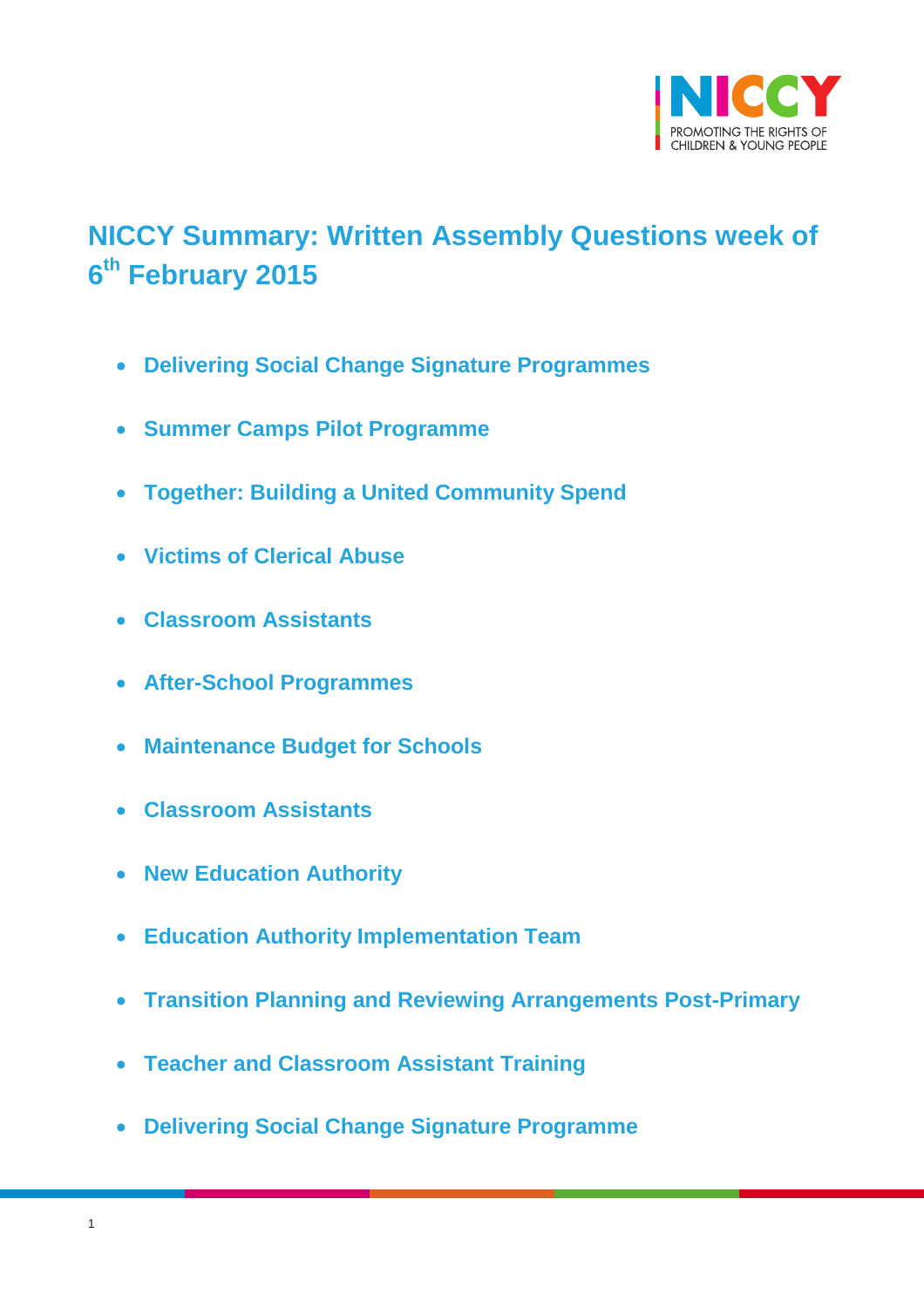

# <span id="page-0-0"></span>**NICCY Summary: Written Assembly Questions week of 6 th February 2015**

- **[Delivering Social Change Signature Programmes](#page-2-0)**
- **[Summer Camps Pilot Programme](#page-2-1)**
- **[Together: Building a United Community Spend](#page-3-0)**
- **[Victims of Clerical Abuse](#page-3-1)**
- **[Classroom Assistants](#page-4-0)**
- **[After-School Programmes](#page-5-0)**
- **[Maintenance Budget for Schools](#page-5-1)**
- **[Classroom Assistants](#page-6-0)**
- **[New Education Authority](#page-6-1)**
- **[Education Authority Implementation Team](#page-7-0)**
- **[Transition Planning and Reviewing Arrangements Post-Primary](#page-7-1)**
- **[Teacher and Classroom Assistant Training](#page-7-2)**
- **[Delivering Social Change Signature Programme](#page-8-0)**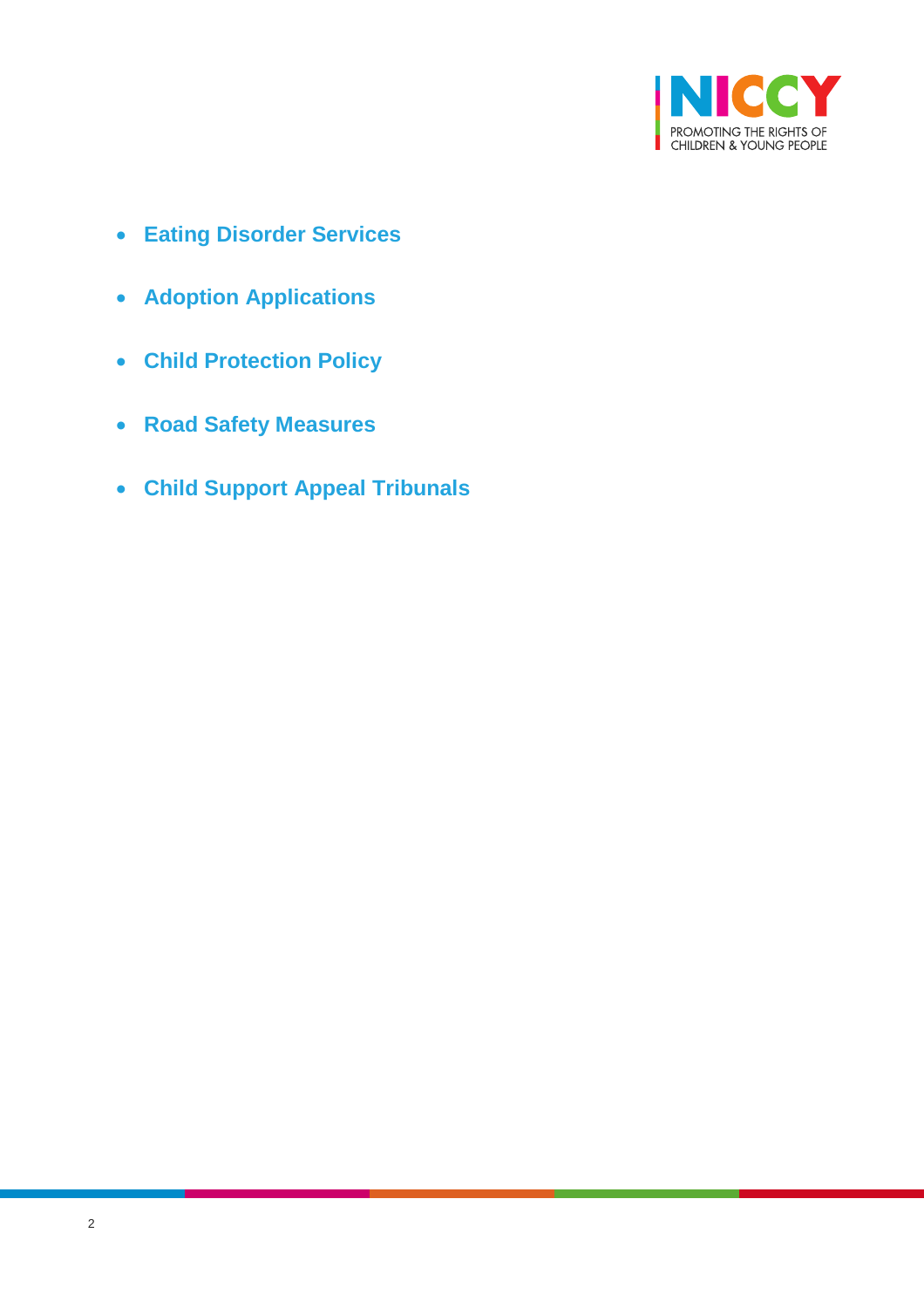

- **[Eating Disorder Services](#page-9-0)**
- **[Adoption Applications](#page-10-0)**
- **[Child Protection Policy](#page-11-0)**
- **[Road Safety Measures](#page-12-0)**
- **[Child Support Appeal Tribunals](#page-13-0)**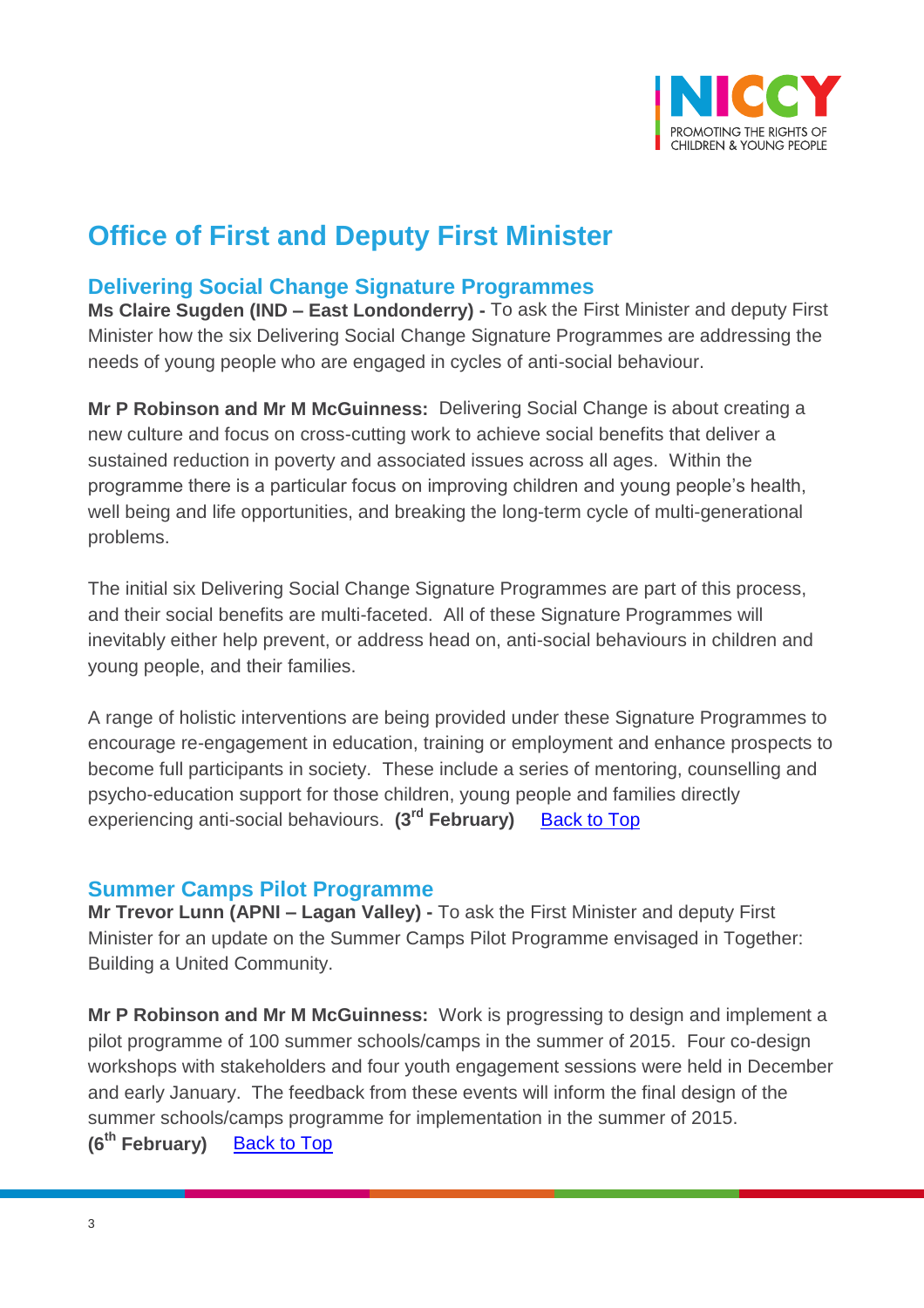

# **Office of First and Deputy First Minister**

### <span id="page-2-0"></span>**Delivering Social Change Signature Programmes**

**Ms Claire Sugden (IND – East Londonderry) -** To ask the First Minister and deputy First Minister how the six Delivering Social Change Signature Programmes are addressing the needs of young people who are engaged in cycles of anti-social behaviour.

**Mr P Robinson and Mr M McGuinness:** Delivering Social Change is about creating a new culture and focus on cross-cutting work to achieve social benefits that deliver a sustained reduction in poverty and associated issues across all ages. Within the programme there is a particular focus on improving children and young people's health, well being and life opportunities, and breaking the long-term cycle of multi-generational problems.

The initial six Delivering Social Change Signature Programmes are part of this process, and their social benefits are multi-faceted. All of these Signature Programmes will inevitably either help prevent, or address head on, anti-social behaviours in children and young people, and their families.

A range of holistic interventions are being provided under these Signature Programmes to encourage re-engagement in education, training or employment and enhance prospects to become full participants in society. These include a series of mentoring, counselling and psycho-education support for those children, young people and families directly experiencing anti-social behaviours. **(3 rd February)** [Back to Top](#page-0-0)

#### <span id="page-2-1"></span>**Summer Camps Pilot Programme**

**Mr Trevor Lunn (APNI – Lagan Valley) -** To ask the First Minister and deputy First Minister for an update on the Summer Camps Pilot Programme envisaged in Together: Building a United Community.

**Mr P Robinson and Mr M McGuinness:** Work is progressing to design and implement a pilot programme of 100 summer schools/camps in the summer of 2015. Four co-design workshops with stakeholders and four youth engagement sessions were held in December and early January. The feedback from these events will inform the final design of the summer schools/camps programme for implementation in the summer of 2015. **(6th February)** [Back to Top](#page-0-0)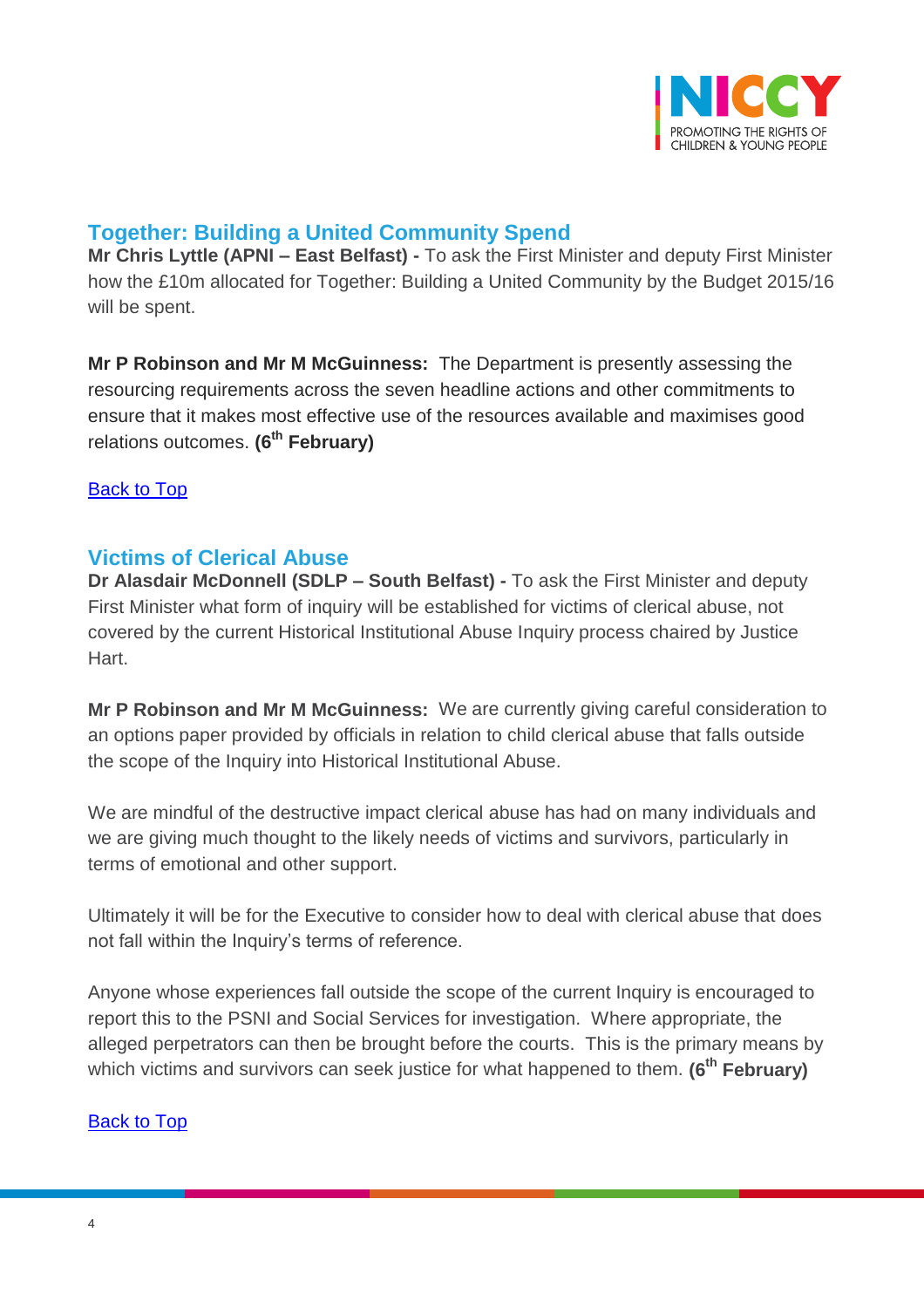

# <span id="page-3-0"></span>**Together: Building a United Community Spend**

**Mr Chris Lyttle (APNI – East Belfast) -** To ask the First Minister and deputy First Minister how the £10m allocated for Together: Building a United Community by the Budget 2015/16 will be spent.

**Mr P Robinson and Mr M McGuinness:** The Department is presently assessing the resourcing requirements across the seven headline actions and other commitments to ensure that it makes most effective use of the resources available and maximises good relations outcomes. **(6th February)**

[Back to Top](#page-0-0)

# <span id="page-3-1"></span>**Victims of Clerical Abuse**

**Dr Alasdair McDonnell (SDLP – South Belfast) -** To ask the First Minister and deputy First Minister what form of inquiry will be established for victims of clerical abuse, not covered by the current Historical Institutional Abuse Inquiry process chaired by Justice Hart.

**Mr P Robinson and Mr M McGuinness:** We are currently giving careful consideration to an options paper provided by officials in relation to child clerical abuse that falls outside the scope of the Inquiry into Historical Institutional Abuse.

We are mindful of the destructive impact clerical abuse has had on many individuals and we are giving much thought to the likely needs of victims and survivors, particularly in terms of emotional and other support.

Ultimately it will be for the Executive to consider how to deal with clerical abuse that does not fall within the Inquiry's terms of reference.

Anyone whose experiences fall outside the scope of the current Inquiry is encouraged to report this to the PSNI and Social Services for investigation. Where appropriate, the alleged perpetrators can then be brought before the courts. This is the primary means by which victims and survivors can seek justice for what happened to them. **(6th February)**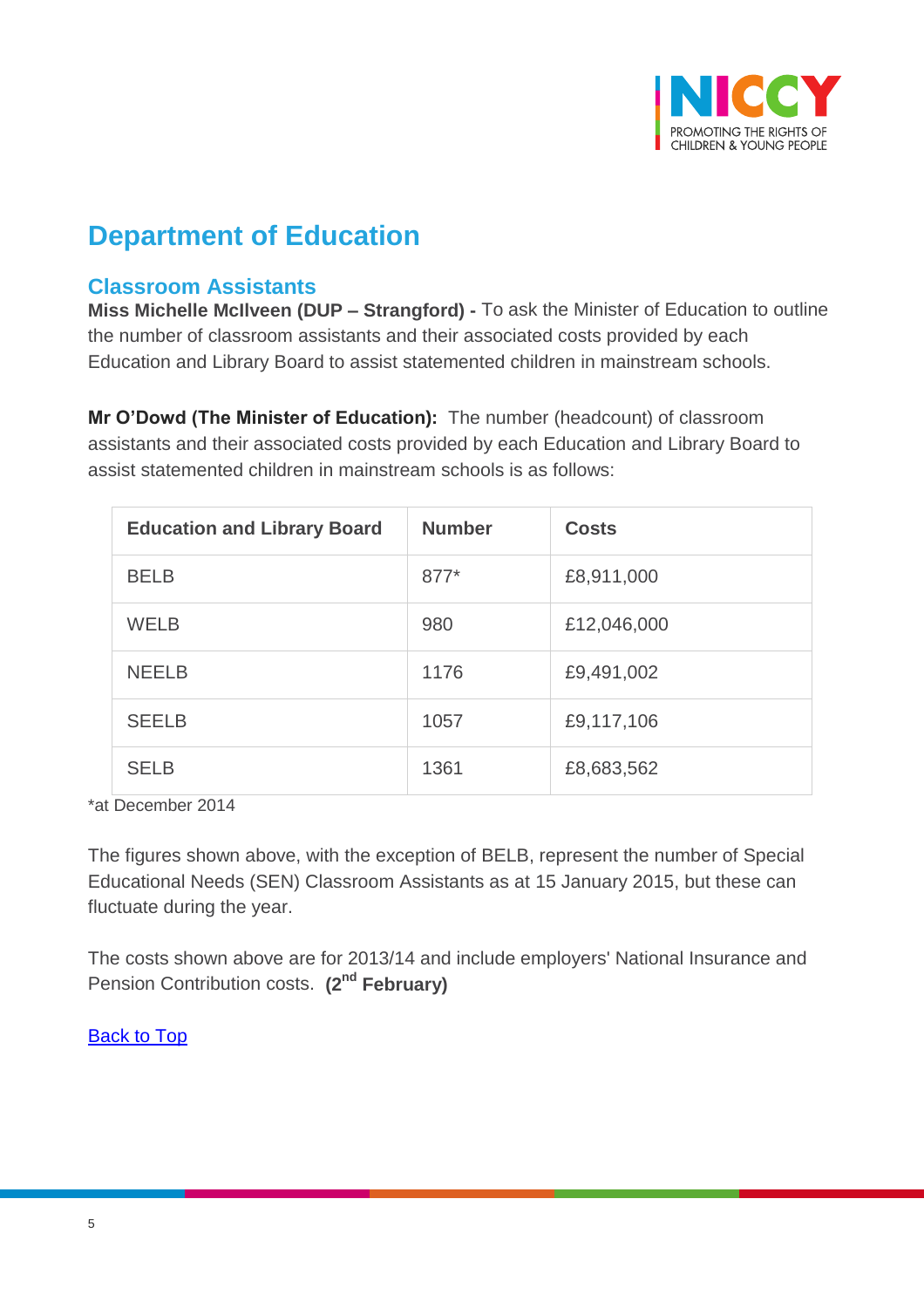

# **Department of Education**

### <span id="page-4-0"></span>**Classroom Assistants**

**Miss Michelle McIlveen (DUP – Strangford) -** To ask the Minister of Education to outline the number of classroom assistants and their associated costs provided by each Education and Library Board to assist statemented children in mainstream schools.

**Mr O'Dowd (The Minister of Education):** The number (headcount) of classroom assistants and their associated costs provided by each Education and Library Board to assist statemented children in mainstream schools is as follows:

| <b>Education and Library Board</b> | <b>Number</b> | <b>Costs</b> |
|------------------------------------|---------------|--------------|
| <b>BELB</b>                        | $877*$        | £8,911,000   |
| <b>WELB</b>                        | 980           | £12,046,000  |
| <b>NEELB</b>                       | 1176          | £9,491,002   |
| <b>SEELB</b>                       | 1057          | £9,117,106   |
| <b>SELB</b>                        | 1361          | £8,683,562   |

\*at December 2014

The figures shown above, with the exception of BELB, represent the number of Special Educational Needs (SEN) Classroom Assistants as at 15 January 2015, but these can fluctuate during the year.

The costs shown above are for 2013/14 and include employers' National Insurance and Pension Contribution costs. **(2nd February)**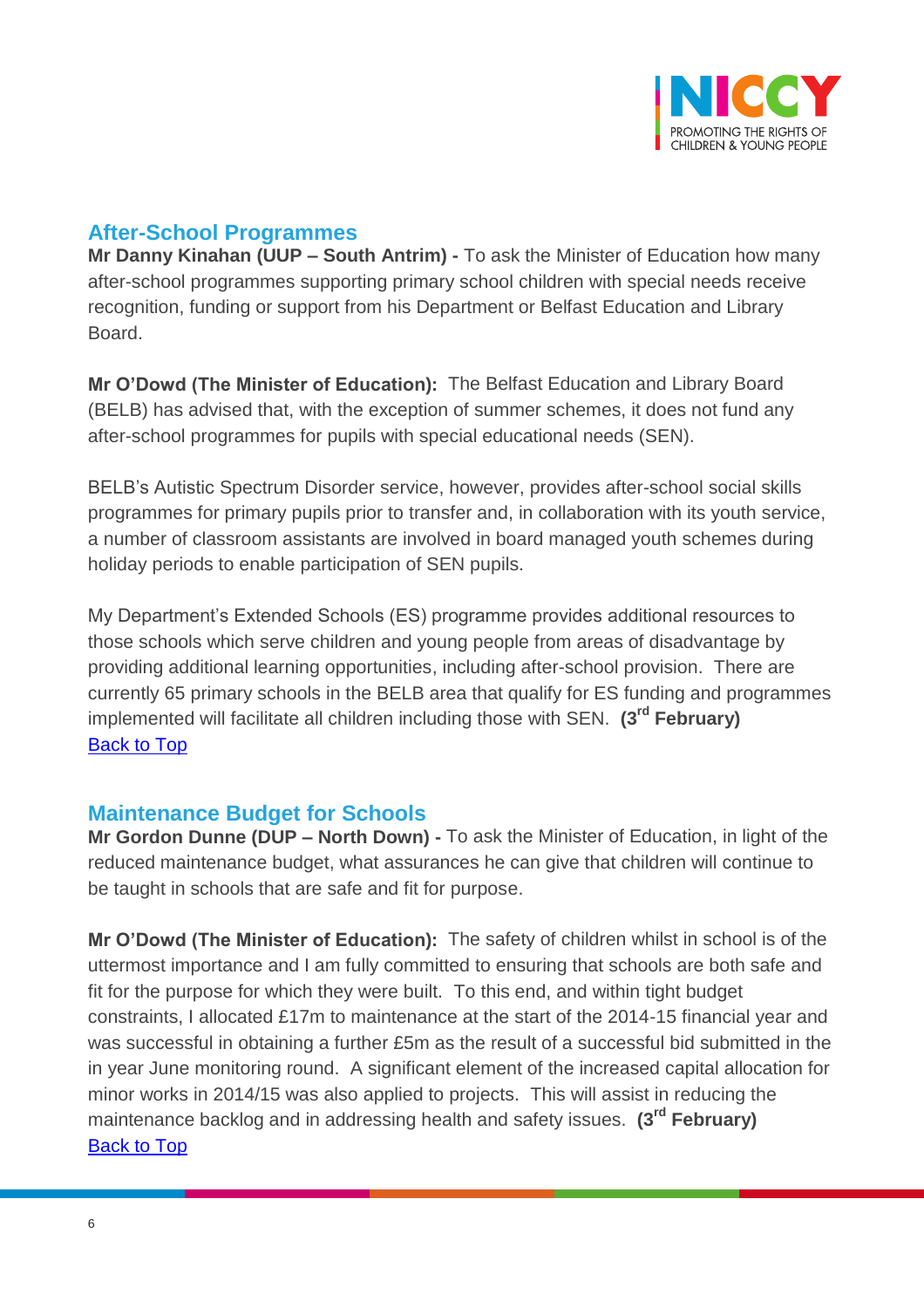

### <span id="page-5-0"></span>**After-School Programmes**

**Mr Danny Kinahan (UUP – South Antrim) -** To ask the Minister of Education how many after-school programmes supporting primary school children with special needs receive recognition, funding or support from his Department or Belfast Education and Library Board.

**Mr O'Dowd (The Minister of Education):** The Belfast Education and Library Board (BELB) has advised that, with the exception of summer schemes, it does not fund any after-school programmes for pupils with special educational needs (SEN).

BELB's Autistic Spectrum Disorder service, however, provides after-school social skills programmes for primary pupils prior to transfer and, in collaboration with its youth service, a number of classroom assistants are involved in board managed youth schemes during holiday periods to enable participation of SEN pupils.

My Department's Extended Schools (ES) programme provides additional resources to those schools which serve children and young people from areas of disadvantage by providing additional learning opportunities, including after-school provision. There are currently 65 primary schools in the BELB area that qualify for ES funding and programmes implemented will facilitate all children including those with SEN. **(3rd February)** [Back to Top](#page-0-0)

#### <span id="page-5-1"></span>**Maintenance Budget for Schools**

**Mr Gordon Dunne (DUP – North Down) -** To ask the Minister of Education, in light of the reduced maintenance budget, what assurances he can give that children will continue to be taught in schools that are safe and fit for purpose.

**Mr O'Dowd (The Minister of Education):** The safety of children whilst in school is of the uttermost importance and I am fully committed to ensuring that schools are both safe and fit for the purpose for which they were built. To this end, and within tight budget constraints, I allocated £17m to maintenance at the start of the 2014-15 financial year and was successful in obtaining a further £5m as the result of a successful bid submitted in the in year June monitoring round. A significant element of the increased capital allocation for minor works in 2014/15 was also applied to projects. This will assist in reducing the maintenance backlog and in addressing health and safety issues. **(3rd February) [Back to Top](#page-0-0)**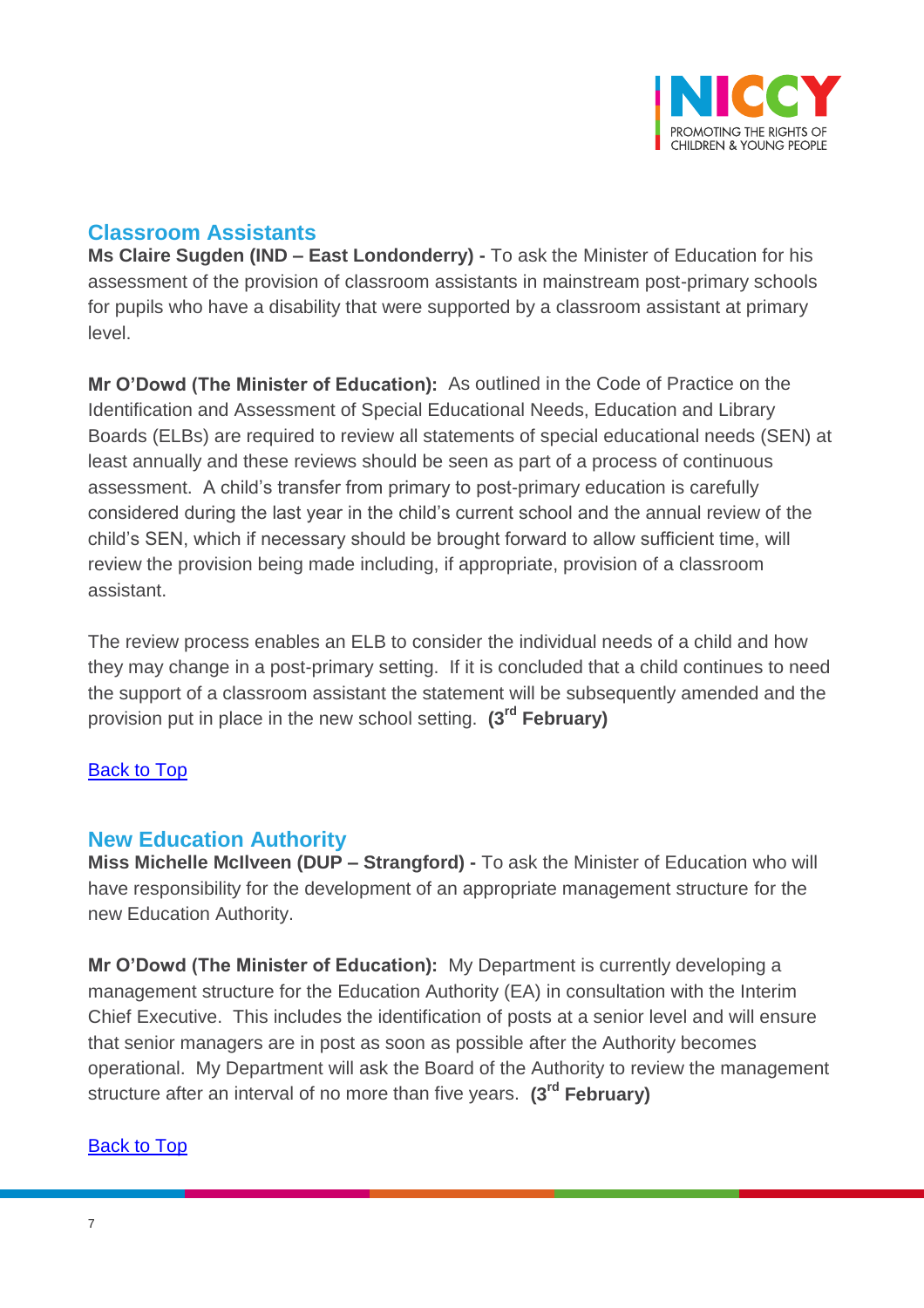

### <span id="page-6-0"></span>**Classroom Assistants**

**Ms Claire Sugden (IND – East Londonderry) -** To ask the Minister of Education for his assessment of the provision of classroom assistants in mainstream post-primary schools for pupils who have a disability that were supported by a classroom assistant at primary level.

**Mr O'Dowd (The Minister of Education):** As outlined in the Code of Practice on the Identification and Assessment of Special Educational Needs, Education and Library Boards (ELBs) are required to review all statements of special educational needs (SEN) at least annually and these reviews should be seen as part of a process of continuous assessment. A child's transfer from primary to post-primary education is carefully considered during the last year in the child's current school and the annual review of the child's SEN, which if necessary should be brought forward to allow sufficient time, will review the provision being made including, if appropriate, provision of a classroom assistant.

The review process enables an ELB to consider the individual needs of a child and how they may change in a post-primary setting. If it is concluded that a child continues to need the support of a classroom assistant the statement will be subsequently amended and the provision put in place in the new school setting. **(3rd February)**

#### **[Back to Top](#page-0-0)**

#### <span id="page-6-1"></span>**New Education Authority**

**Miss Michelle McIlveen (DUP – Strangford) -** To ask the Minister of Education who will have responsibility for the development of an appropriate management structure for the new Education Authority.

**Mr O'Dowd (The Minister of Education):** My Department is currently developing a management structure for the Education Authority (EA) in consultation with the Interim Chief Executive. This includes the identification of posts at a senior level and will ensure that senior managers are in post as soon as possible after the Authority becomes operational. My Department will ask the Board of the Authority to review the management structure after an interval of no more than five years. **(3rd February)**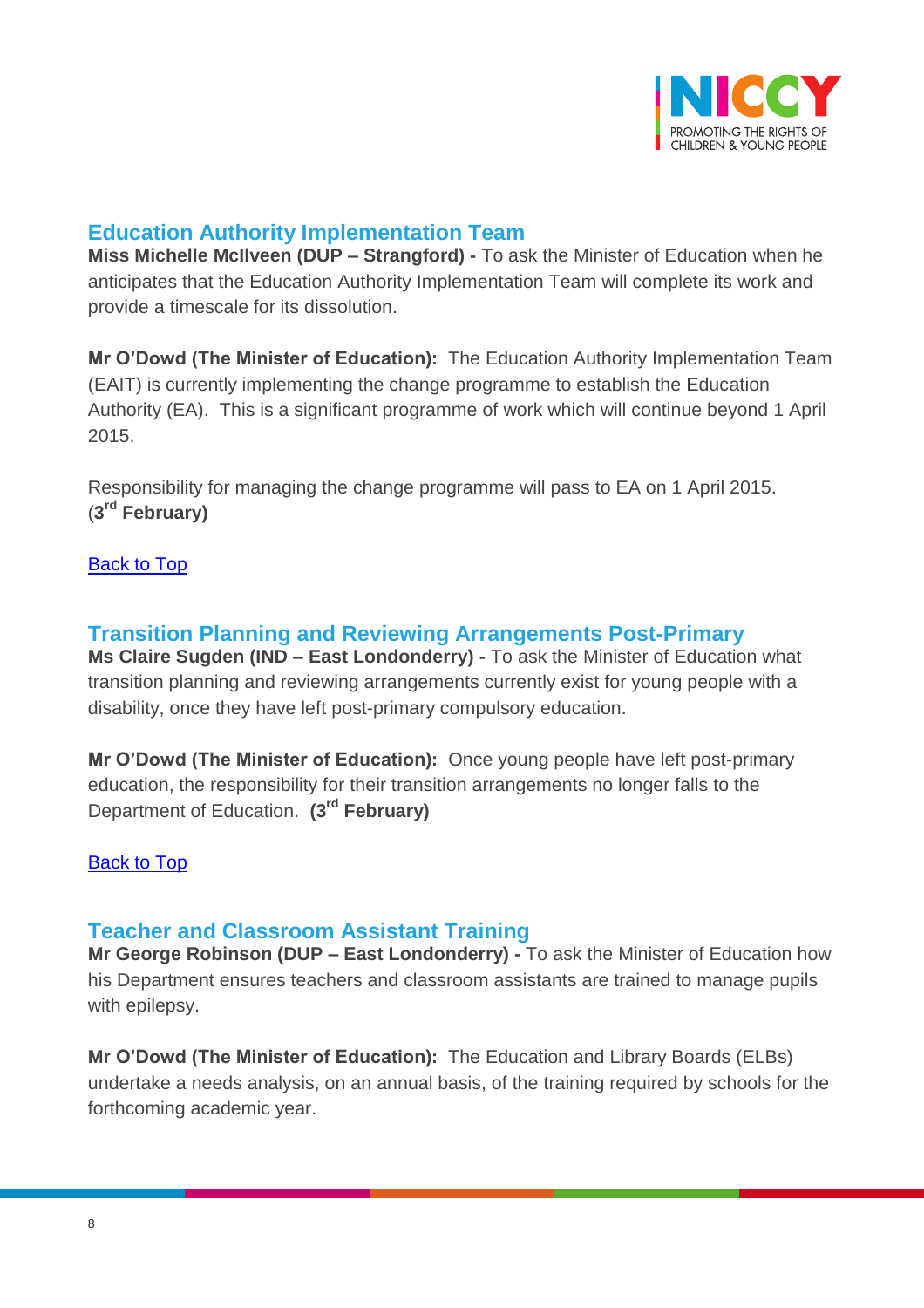

### <span id="page-7-0"></span>**Education Authority Implementation Team**

**Miss Michelle McIlveen (DUP – Strangford) -** To ask the Minister of Education when he anticipates that the Education Authority Implementation Team will complete its work and provide a timescale for its dissolution.

**Mr O'Dowd (The Minister of Education):** The Education Authority Implementation Team (EAIT) is currently implementing the change programme to establish the Education Authority (EA). This is a significant programme of work which will continue beyond 1 April 2015.

Responsibility for managing the change programme will pass to EA on 1 April 2015. (**3 rd February)**

#### [Back to Top](#page-0-0)

#### <span id="page-7-1"></span>**Transition Planning and Reviewing Arrangements Post-Primary**

**Ms Claire Sugden (IND – East Londonderry) -** To ask the Minister of Education what transition planning and reviewing arrangements currently exist for young people with a disability, once they have left post-primary compulsory education.

**Mr O'Dowd (The Minister of Education):** Once young people have left post-primary education, the responsibility for their transition arrangements no longer falls to the Department of Education. **(3rd February)**

#### [Back to Top](#page-0-0)

#### <span id="page-7-2"></span>**Teacher and Classroom Assistant Training**

**Mr George Robinson (DUP – East Londonderry) -** To ask the Minister of Education how his Department ensures teachers and classroom assistants are trained to manage pupils with epilepsy.

**Mr O'Dowd (The Minister of Education):** The Education and Library Boards (ELBs) undertake a needs analysis, on an annual basis, of the training required by schools for the forthcoming academic year.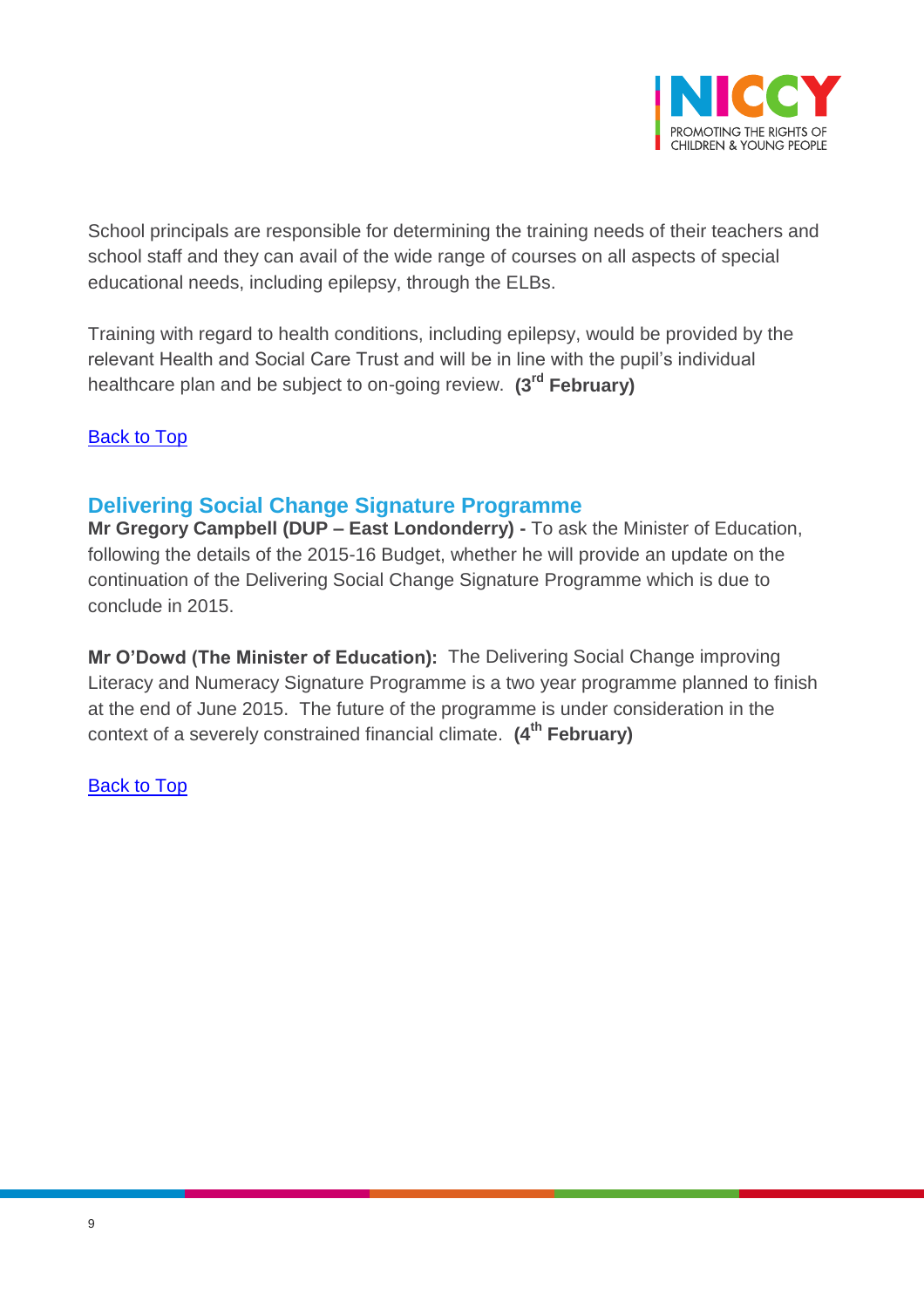

School principals are responsible for determining the training needs of their teachers and school staff and they can avail of the wide range of courses on all aspects of special educational needs, including epilepsy, through the ELBs.

Training with regard to health conditions, including epilepsy, would be provided by the relevant Health and Social Care Trust and will be in line with the pupil's individual healthcare plan and be subject to on-going review. **(3rd February)**

[Back to Top](#page-0-0)

# <span id="page-8-0"></span>**Delivering Social Change Signature Programme**

**Mr Gregory Campbell (DUP – East Londonderry) -** To ask the Minister of Education, following the details of the 2015-16 Budget, whether he will provide an update on the continuation of the Delivering Social Change Signature Programme which is due to conclude in 2015.

**Mr O'Dowd (The Minister of Education):** The Delivering Social Change improving Literacy and Numeracy Signature Programme is a two year programme planned to finish at the end of June 2015. The future of the programme is under consideration in the context of a severely constrained financial climate. **(4th February)**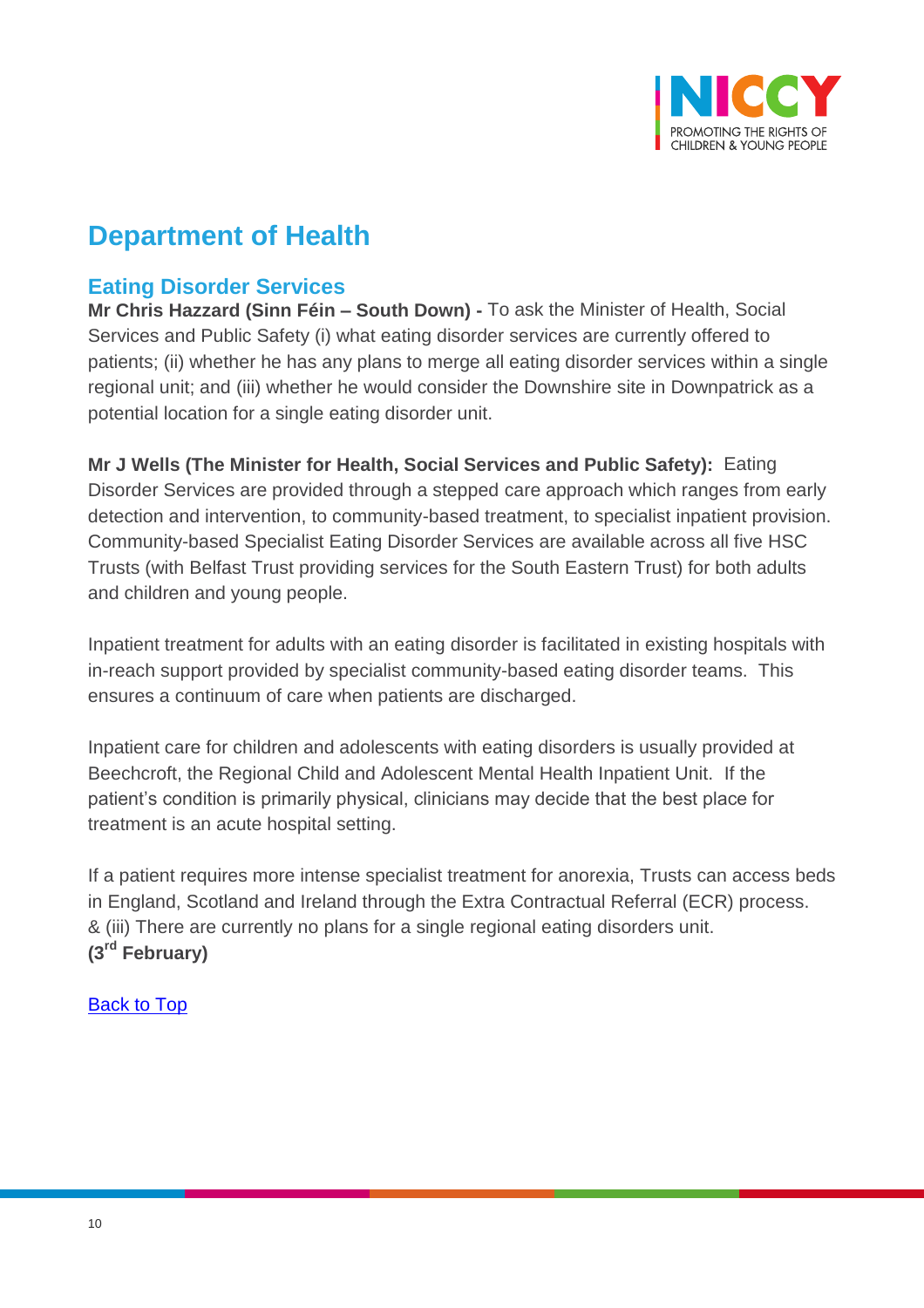

# **Department of Health**

# <span id="page-9-0"></span>**Eating Disorder Services**

**Mr Chris Hazzard (Sinn Féin – South Down) -** To ask the Minister of Health, Social Services and Public Safety (i) what eating disorder services are currently offered to patients; (ii) whether he has any plans to merge all eating disorder services within a single regional unit; and (iii) whether he would consider the Downshire site in Downpatrick as a potential location for a single eating disorder unit.

**Mr J Wells (The Minister for Health, Social Services and Public Safety):** Eating Disorder Services are provided through a stepped care approach which ranges from early detection and intervention, to community-based treatment, to specialist inpatient provision. Community-based Specialist Eating Disorder Services are available across all five HSC Trusts (with Belfast Trust providing services for the South Eastern Trust) for both adults and children and young people.

Inpatient treatment for adults with an eating disorder is facilitated in existing hospitals with in-reach support provided by specialist community-based eating disorder teams. This ensures a continuum of care when patients are discharged.

Inpatient care for children and adolescents with eating disorders is usually provided at Beechcroft, the Regional Child and Adolescent Mental Health Inpatient Unit. If the patient's condition is primarily physical, clinicians may decide that the best place for treatment is an acute hospital setting.

If a patient requires more intense specialist treatment for anorexia, Trusts can access beds in England, Scotland and Ireland through the Extra Contractual Referral (ECR) process. & (iii) There are currently no plans for a single regional eating disorders unit. **(3rd February)**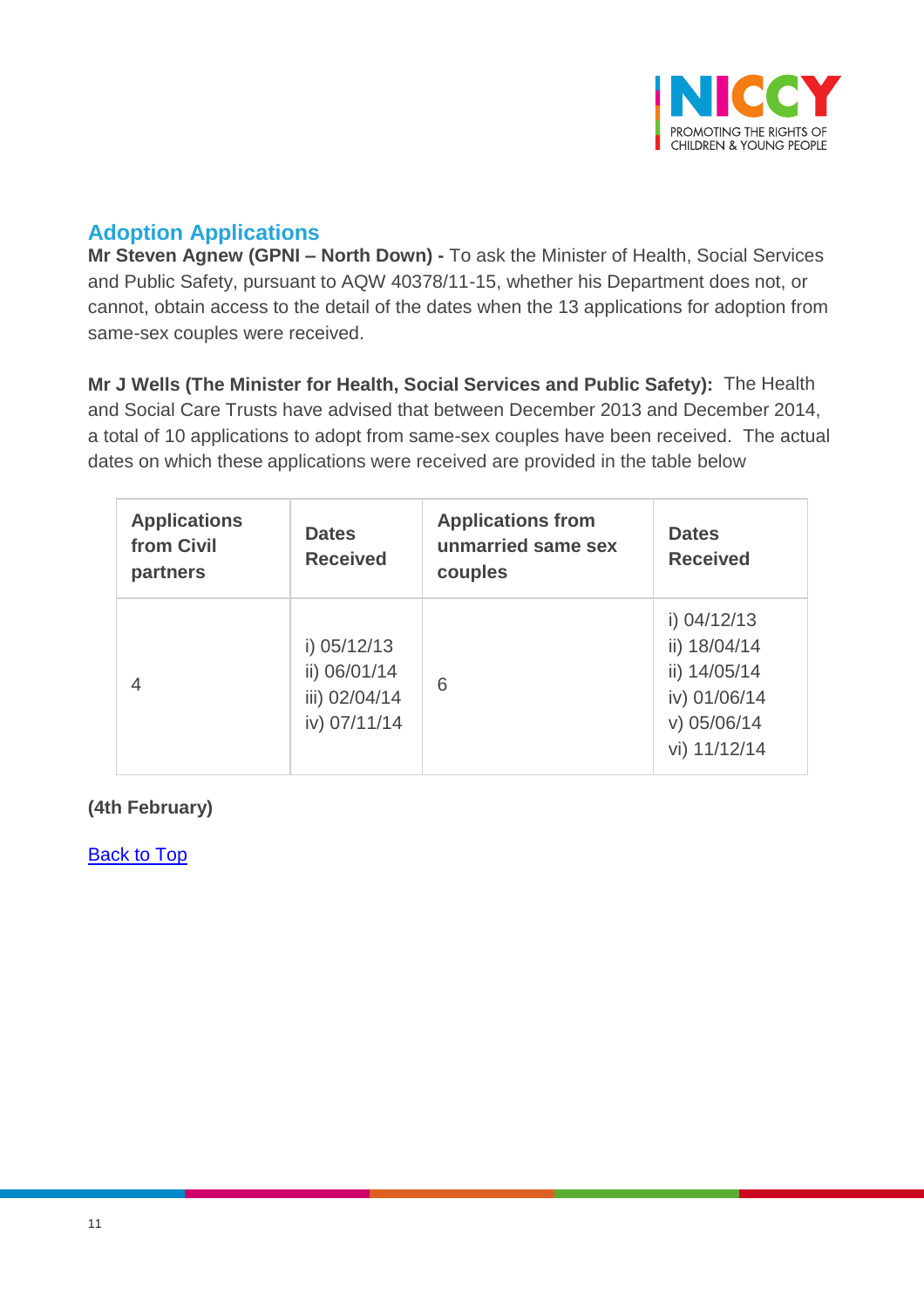

# <span id="page-10-0"></span>**Adoption Applications**

**Mr Steven Agnew (GPNI – North Down) -** To ask the Minister of Health, Social Services and Public Safety, pursuant to AQW 40378/11-15, whether his Department does not, or cannot, obtain access to the detail of the dates when the 13 applications for adoption from same-sex couples were received.

**Mr J Wells (The Minister for Health, Social Services and Public Safety):** The Health and Social Care Trusts have advised that between December 2013 and December 2014, a total of 10 applications to adopt from same-sex couples have been received. The actual dates on which these applications were received are provided in the table below

| <b>Applications</b><br>from Civil<br>partners | <b>Dates</b><br><b>Received</b>                                | <b>Applications from</b><br>unmarried same sex<br>couples | <b>Dates</b><br><b>Received</b>                                                                |
|-----------------------------------------------|----------------------------------------------------------------|-----------------------------------------------------------|------------------------------------------------------------------------------------------------|
| $\overline{4}$                                | i) $05/12/13$<br>ii) 06/01/14<br>iii) 02/04/14<br>iv) 07/11/14 | 6                                                         | i) $04/12/13$<br>ii) 18/04/14<br>ii) 14/05/14<br>iv) 01/06/14<br>$v)$ 05/06/14<br>vi) 11/12/14 |

#### **(4th February)**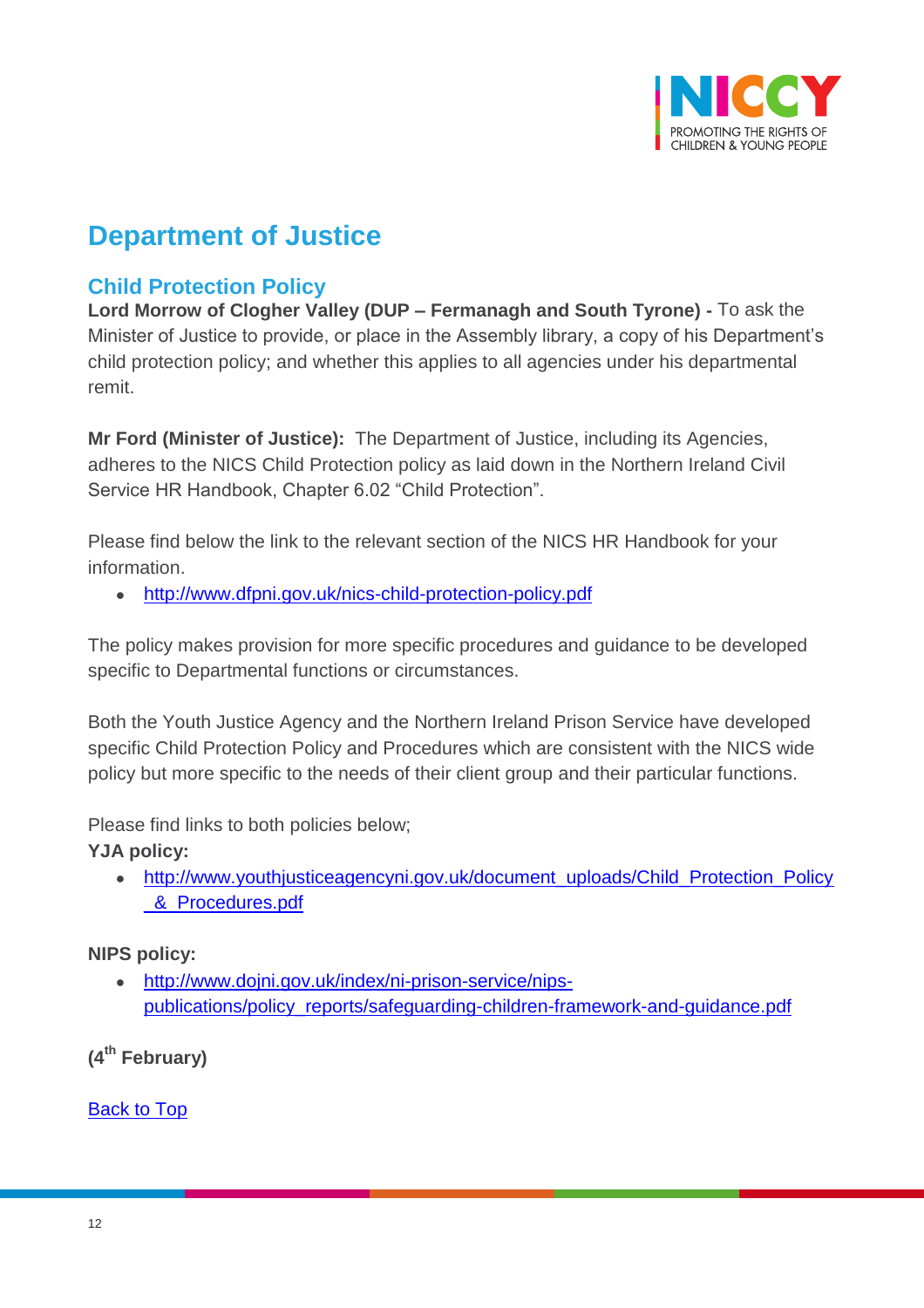

# **Department of Justice**

# <span id="page-11-0"></span>**Child Protection Policy**

**Lord Morrow of Clogher Valley (DUP – Fermanagh and South Tyrone) -** To ask the Minister of Justice to provide, or place in the Assembly library, a copy of his Department's child protection policy; and whether this applies to all agencies under his departmental remit.

**Mr Ford (Minister of Justice):** The Department of Justice, including its Agencies, adheres to the NICS Child Protection policy as laid down in the Northern Ireland Civil Service HR Handbook, Chapter 6.02 "Child Protection".

Please find below the link to the relevant section of the NICS HR Handbook for your information.

<http://www.dfpni.gov.uk/nics-child-protection-policy.pdf>

The policy makes provision for more specific procedures and guidance to be developed specific to Departmental functions or circumstances.

Both the Youth Justice Agency and the Northern Ireland Prison Service have developed specific Child Protection Policy and Procedures which are consistent with the NICS wide policy but more specific to the needs of their client group and their particular functions.

Please find links to both policies below;

**YJA policy:**

• [http://www.youthjusticeagencyni.gov.uk/document\\_uploads/Child\\_Protection\\_Policy](http://www.youthjusticeagencyni.gov.uk/document_uploads/Child_Protection_Policy_&_Procedures.pdf) 8 Procedures.pdf

#### **NIPS policy:**

 [http://www.dojni.gov.uk/index/ni-prison-service/nips](http://www.dojni.gov.uk/index/ni-prison-service/nips-publications/policy_reports/safeguarding-children-framework-and-guidance.pdf)[publications/policy\\_reports/safeguarding-children-framework-and-guidance.pdf](http://www.dojni.gov.uk/index/ni-prison-service/nips-publications/policy_reports/safeguarding-children-framework-and-guidance.pdf)

**(4th February)**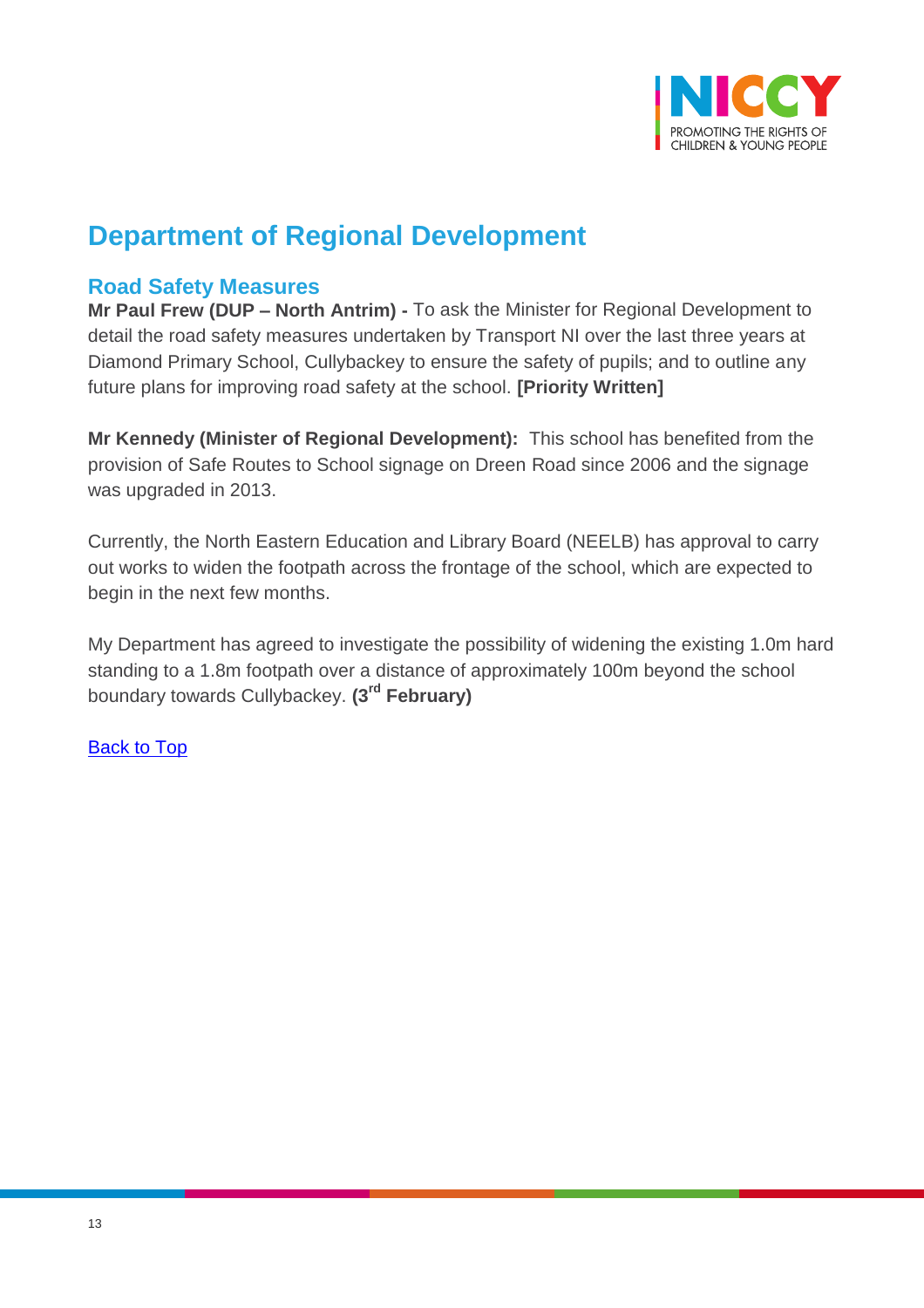

# **Department of Regional Development**

### <span id="page-12-0"></span>**Road Safety Measures**

**Mr Paul Frew (DUP – North Antrim) -** To ask the Minister for Regional Development to detail the road safety measures undertaken by Transport NI over the last three years at Diamond Primary School, Cullybackey to ensure the safety of pupils; and to outline any future plans for improving road safety at the school. **[Priority Written]**

**Mr Kennedy (Minister of Regional Development):** This school has benefited from the provision of Safe Routes to School signage on Dreen Road since 2006 and the signage was upgraded in 2013.

Currently, the North Eastern Education and Library Board (NEELB) has approval to carry out works to widen the footpath across the frontage of the school, which are expected to begin in the next few months.

My Department has agreed to investigate the possibility of widening the existing 1.0m hard standing to a 1.8m footpath over a distance of approximately 100m beyond the school boundary towards Cullybackey. **(3rd February)**